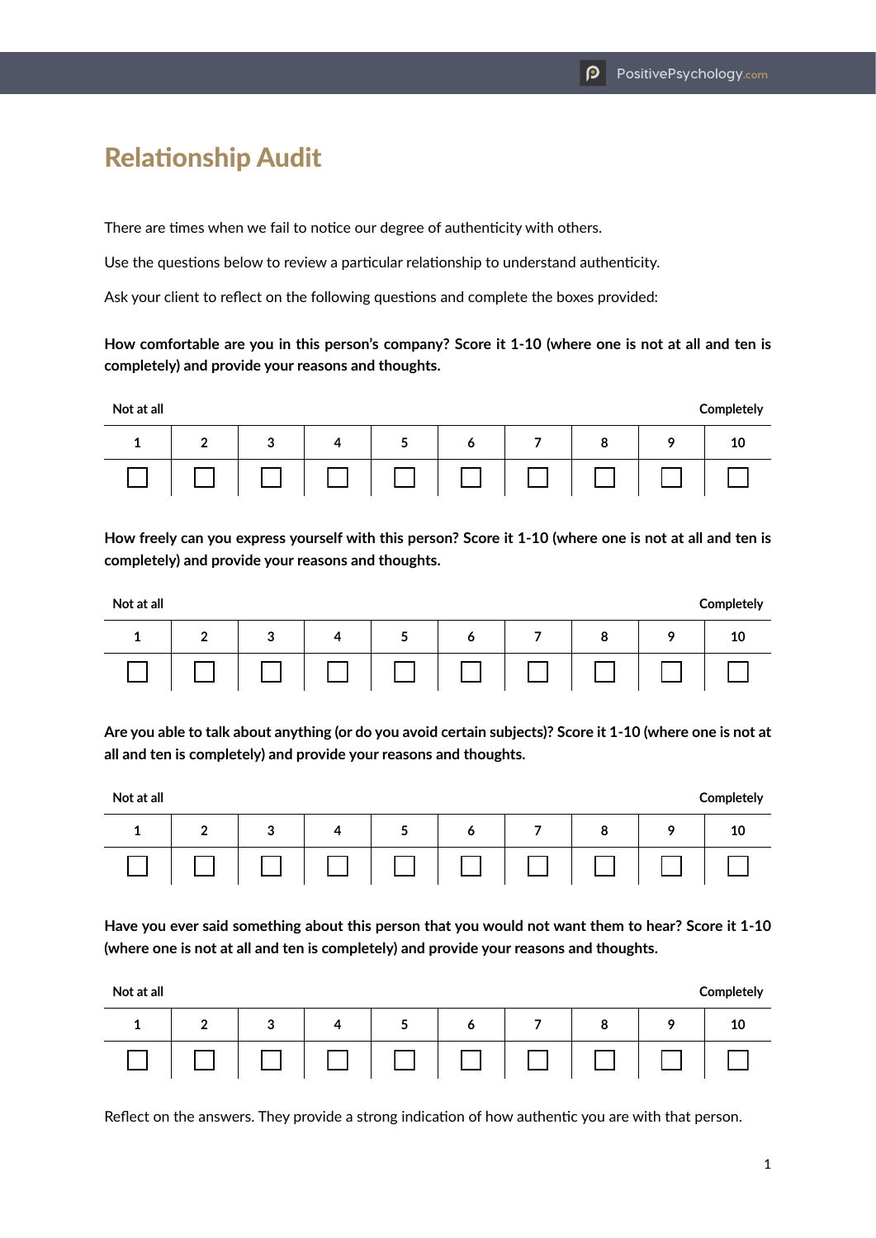## Relationship Audit

There are times when we fail to notice our degree of authenticity with others.

Use the questions below to review a particular relationship to understand authenticity.

Ask your client to reflect on the following questions and complete the boxes provided:

**How comfortable are you in this person's company? Score it 1-10 (where one is not at all and ten is completely) and provide your reasons and thoughts.**

| Not at all |        |        |  |        |   |   |   |   | Completely |
|------------|--------|--------|--|--------|---|---|---|---|------------|
| л.         | ◠<br>- | 2<br>J |  | ∽<br>◡ | o | - | 8 | Q | 10         |
|            |        |        |  |        |   |   |   |   |            |

**How freely can you express yourself with this person? Score it 1-10 (where one is not at all and ten is completely) and provide your reasons and thoughts.**

| Not at all |        |        |  |        |   |  |   |   | Completely |
|------------|--------|--------|--|--------|---|--|---|---|------------|
| д,         | c<br>- | っ<br>◡ |  | ∽<br>J | o |  | 8 | Q | 10         |
|            |        |        |  |        |   |  |   |   |            |

**Are you able to talk about anything (or do you avoid certain subjects)? Score it 1-10 (where one is not at all and ten is completely) and provide your reasons and thoughts.**

**Not at all Completely**

| $1 \mid 2 \mid 3 \mid 4 \mid 5 \mid 6 \mid 7 \mid 8 \mid 9 \mid 10$ |  |  |  |  |
|---------------------------------------------------------------------|--|--|--|--|
|                                                                     |  |  |  |  |

**Have you ever said something about this person that you would not want them to hear? Score it 1-10 (where one is not at all and ten is completely) and provide your reasons and thoughts.**

| Not at all |   |        |  |          |   |   |   |   | Completely |
|------------|---|--------|--|----------|---|---|---|---|------------|
|            | າ | 2<br>◡ |  | <u>.</u> | o | - | 8 | o | 10         |
|            |   |        |  |          |   |   |   |   |            |

Reflect on the answers. They provide a strong indication of how authentic you are with that person.